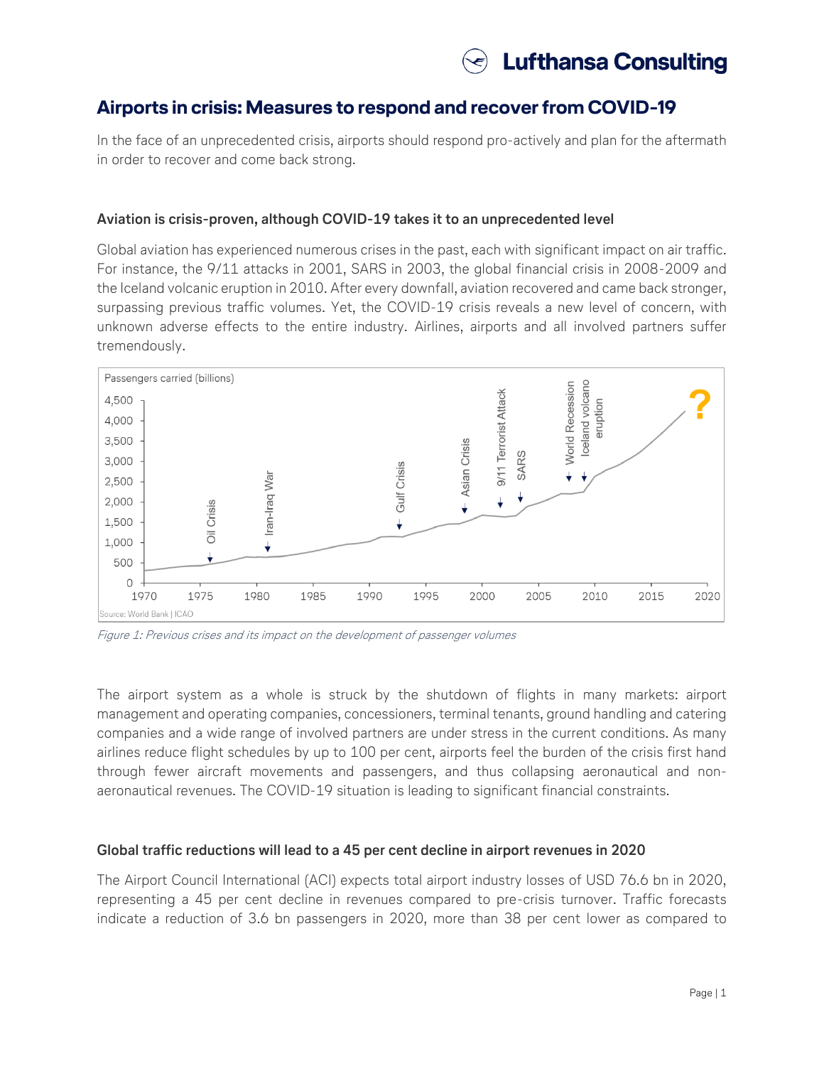# **Airports in crisis: Measures to respond and recover from COVID-19**

In the face of an unprecedented crisis, airports should respond pro-actively and plan for the aftermath in order to recover and come back strong.

## **Aviation is crisis-proven, although COVID-19 takes it to an unprecedented level**

Global aviation has experienced numerous crises in the past, each with significant impact on air traffic. For instance, the 9/11 attacks in 2001, SARS in 2003, the global financial crisis in 2008-2009 and the Iceland volcanic eruption in 2010. After every downfall, aviation recovered and came back stronger, surpassing previous traffic volumes. Yet, the COVID-19 crisis reveals a new level of concern, with unknown adverse effects to the entire industry. Airlines, airports and all involved partners suffer tremendously.



Figure 1: Previous crises and its impact on the development of passenger volumes

The airport system as a whole is struck by the shutdown of flights in many markets: airport management and operating companies, concessioners, terminal tenants, ground handling and catering companies and a wide range of involved partners are under stress in the current conditions. As many airlines reduce flight schedules by up to 100 per cent, airports feel the burden of the crisis first hand through fewer aircraft movements and passengers, and thus collapsing aeronautical and nonaeronautical revenues. The COVID-19 situation is leading to significant financial constraints.

### **Global traffic reductions will lead to a 45 per cent decline in airport revenues in 2020**

The Airport Council International (ACI) expects total airport industry losses of USD 76.6 bn in 2020, representing a 45 per cent decline in revenues compared to pre-crisis turnover. Traffic forecasts indicate a reduction of 3.6 bn passengers in 2020, more than 38 per cent lower as compared to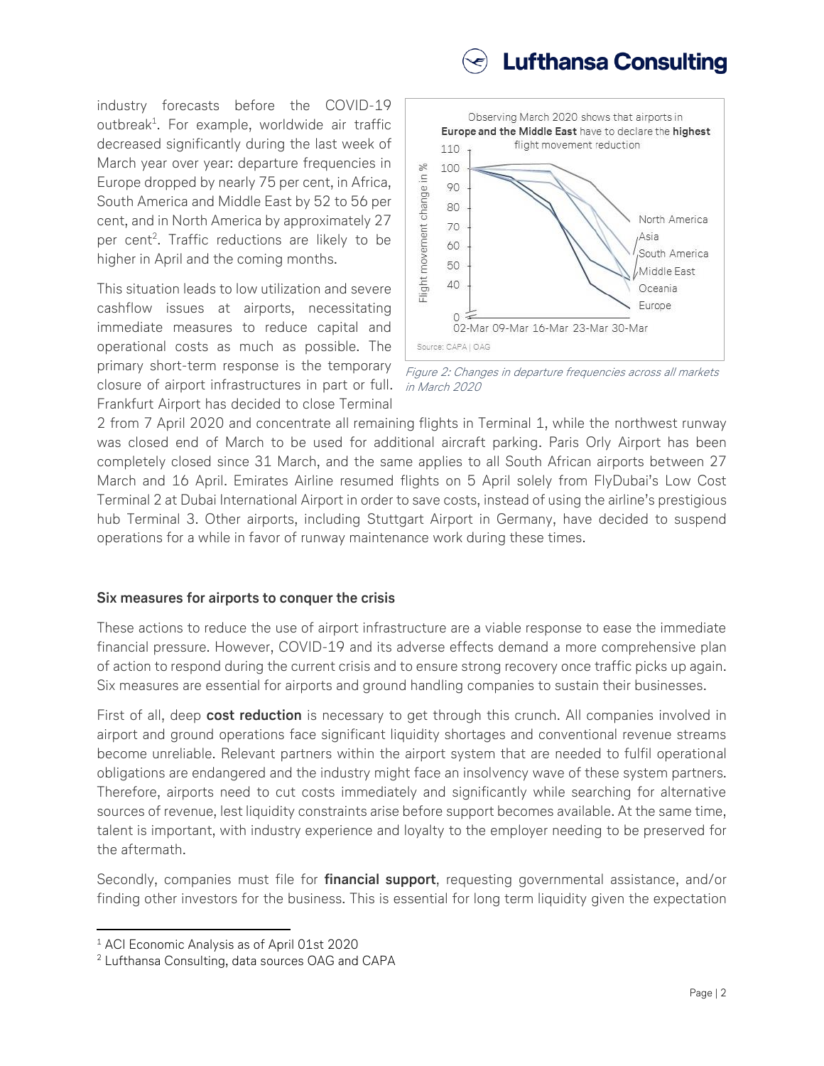

industry forecasts before the COVID-19 outbreak<sup>1</sup>. For example, worldwide air traffic decreased significantly during the last week of March year over year: departure frequencies in Europe dropped by nearly 75 per cent, in Africa, South America and Middle East by 52 to 56 per cent, and in North America by approximately 27 per cent<sup>2</sup>. Traffic reductions are likely to be higher in April and the coming months.

This situation leads to low utilization and severe cashflow issues at airports, necessitating immediate measures to reduce capital and operational costs as much as possible. The primary short-term response is the temporary closure of airport infrastructures in part or full. Frankfurt Airport has decided to close Terminal



Figure 2: Changes in departure frequencies across all markets in March 2020

2 from 7 April 2020 and concentrate all remaining flights in Terminal 1, while the northwest runway was closed end of March to be used for additional aircraft parking. Paris Orly Airport has been completely closed since 31 March, and the same applies to all South African airports between 27 March and 16 April. Emirates Airline resumed flights on 5 April solely from FlyDubai's Low Cost Terminal 2 at Dubai International Airport in order to save costs, instead of using the airline's prestigious hub Terminal 3. Other airports, including Stuttgart Airport in Germany, have decided to suspend operations for a while in favor of runway maintenance work during these times.

### **Six measures for airports to conquer the crisis**

These actions to reduce the use of airport infrastructure are a viable response to ease the immediate financial pressure. However, COVID-19 and its adverse effects demand a more comprehensive plan of action to respond during the current crisis and to ensure strong recovery once traffic picks up again. Six measures are essential for airports and ground handling companies to sustain their businesses.

First of all, deep **cost reduction** is necessary to get through this crunch. All companies involved in airport and ground operations face significant liquidity shortages and conventional revenue streams become unreliable. Relevant partners within the airport system that are needed to fulfil operational obligations are endangered and the industry might face an insolvency wave of these system partners. Therefore, airports need to cut costs immediately and significantly while searching for alternative sources of revenue, lest liquidity constraints arise before support becomes available. At the same time, talent is important, with industry experience and loyalty to the employer needing to be preserved for the aftermath.

Secondly, companies must file for **financial support**, requesting governmental assistance, and/or finding other investors for the business. This is essential for long term liquidity given the expectation

 $\overline{\phantom{a}}$ 

<sup>1</sup> ACI Economic Analysis as of April 01st 2020

<sup>2</sup> Lufthansa Consulting, data sources OAG and CAPA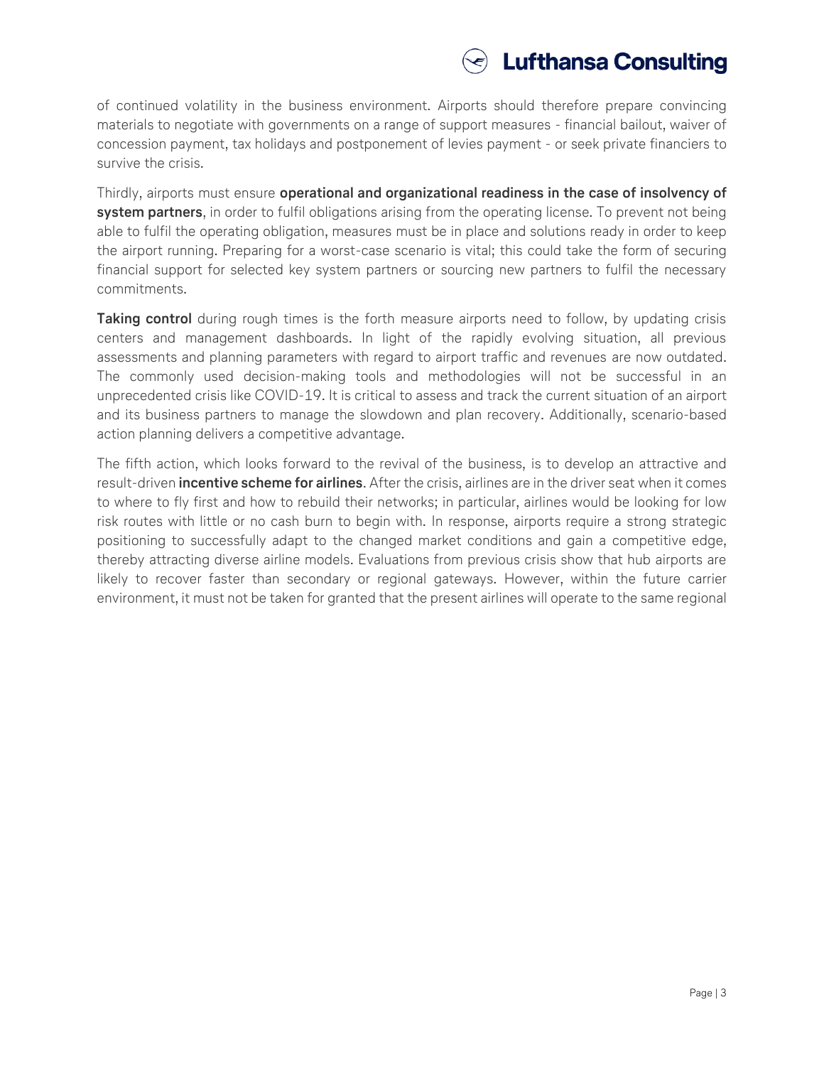

of continued volatility in the business environment. Airports should therefore prepare convincing materials to negotiate with governments on a range of support measures - financial bailout, waiver of concession payment, tax holidays and postponement of levies payment - or seek private financiers to survive the crisis.

Thirdly, airports must ensure **operational and organizational readiness in the case of insolvency of system partners**, in order to fulfil obligations arising from the operating license. To prevent not being able to fulfil the operating obligation, measures must be in place and solutions ready in order to keep the airport running. Preparing for a worst-case scenario is vital; this could take the form of securing financial support for selected key system partners or sourcing new partners to fulfil the necessary commitments.

**Taking control** during rough times is the forth measure airports need to follow, by updating crisis centers and management dashboards. In light of the rapidly evolving situation, all previous assessments and planning parameters with regard to airport traffic and revenues are now outdated. The commonly used decision-making tools and methodologies will not be successful in an unprecedented crisis like COVID-19. It is critical to assess and track the current situation of an airport and its business partners to manage the slowdown and plan recovery. Additionally, scenario-based action planning delivers a competitive advantage.

The fifth action, which looks forward to the revival of the business, is to develop an attractive and result-driven **incentive scheme for airlines**. After the crisis, airlines are in the driver seat when it comes to where to fly first and how to rebuild their networks; in particular, airlines would be looking for low risk routes with little or no cash burn to begin with. In response, airports require a strong strategic positioning to successfully adapt to the changed market conditions and gain a competitive edge, thereby attracting diverse airline models. Evaluations from previous crisis show that hub airports are likely to recover faster than secondary or regional gateways. However, within the future carrier environment, it must not be taken for granted that the present airlines will operate to the same regional